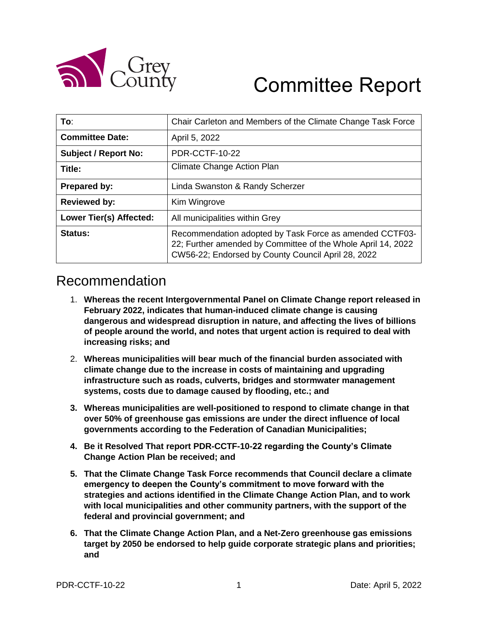

# Committee Report

| To:                            | Chair Carleton and Members of the Climate Change Task Force                                                                                                                   |
|--------------------------------|-------------------------------------------------------------------------------------------------------------------------------------------------------------------------------|
| <b>Committee Date:</b>         | April 5, 2022                                                                                                                                                                 |
| <b>Subject / Report No:</b>    | PDR-CCTF-10-22                                                                                                                                                                |
| Title:                         | <b>Climate Change Action Plan</b>                                                                                                                                             |
| <b>Prepared by:</b>            | Linda Swanston & Randy Scherzer                                                                                                                                               |
| <b>Reviewed by:</b>            | Kim Wingrove                                                                                                                                                                  |
| <b>Lower Tier(s) Affected:</b> | All municipalities within Grey                                                                                                                                                |
| Status:                        | Recommendation adopted by Task Force as amended CCTF03-<br>22; Further amended by Committee of the Whole April 14, 2022<br>CW56-22; Endorsed by County Council April 28, 2022 |

# Recommendation

- 1. **Whereas the recent Intergovernmental Panel on Climate Change report released in February 2022, indicates that human-induced climate change is causing dangerous and widespread disruption in nature, and affecting the lives of billions of people around the world, and notes that urgent action is required to deal with increasing risks; and**
- 2. **Whereas municipalities will bear much of the financial burden associated with climate change due to the increase in costs of maintaining and upgrading infrastructure such as roads, culverts, bridges and stormwater management systems, costs due to damage caused by flooding, etc.; and**
- **3. Whereas municipalities are well-positioned to respond to climate change in that over 50% of greenhouse gas emissions are under the direct influence of local governments according to the Federation of Canadian Municipalities;**
- **4. Be it Resolved That report PDR-CCTF-10-22 regarding the County's Climate Change Action Plan be received; and**
- **5. That the Climate Change Task Force recommends that Council declare a climate emergency to deepen the County's commitment to move forward with the strategies and actions identified in the Climate Change Action Plan, and to work with local municipalities and other community partners, with the support of the federal and provincial government; and**
- **6. That the Climate Change Action Plan, and a Net-Zero greenhouse gas emissions target by 2050 be endorsed to help guide corporate strategic plans and priorities; and**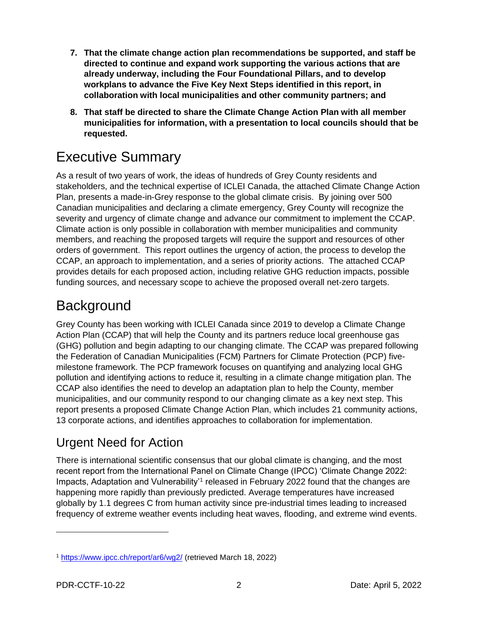- **7. That the climate change action plan recommendations be supported, and staff be directed to continue and expand work supporting the various actions that are already underway, including the Four Foundational Pillars, and to develop workplans to advance the Five Key Next Steps identified in this report, in collaboration with local municipalities and other community partners; and**
- **8. That staff be directed to share the Climate Change Action Plan with all member municipalities for information, with a presentation to local councils should that be requested.**

# Executive Summary

As a result of two years of work, the ideas of hundreds of Grey County residents and stakeholders, and the technical expertise of ICLEI Canada, the attached Climate Change Action Plan, presents a made-in-Grey response to the global climate crisis. By joining over 500 Canadian municipalities and declaring a climate emergency, Grey County will recognize the severity and urgency of climate change and advance our commitment to implement the CCAP. Climate action is only possible in collaboration with member municipalities and community members, and reaching the proposed targets will require the support and resources of other orders of government. This report outlines the urgency of action, the process to develop the CCAP, an approach to implementation, and a series of priority actions. The attached CCAP provides details for each proposed action, including relative GHG reduction impacts, possible funding sources, and necessary scope to achieve the proposed overall net-zero targets.

# **Background**

Grey County has been working with ICLEI Canada since 2019 to develop a Climate Change Action Plan (CCAP) that will help the County and its partners reduce local greenhouse gas (GHG) pollution and begin adapting to our changing climate. The CCAP was prepared following the Federation of Canadian Municipalities (FCM) Partners for Climate Protection (PCP) fivemilestone framework. The PCP framework focuses on quantifying and analyzing local GHG pollution and identifying actions to reduce it, resulting in a climate change mitigation plan. The CCAP also identifies the need to develop an adaptation plan to help the County, member municipalities, and our community respond to our changing climate as a key next step. This report presents a proposed Climate Change Action Plan, which includes 21 community actions, 13 corporate actions, and identifies approaches to collaboration for implementation.

# Urgent Need for Action

There is international scientific consensus that our global climate is changing, and the most recent report from the International Panel on Climate Change (IPCC) 'Climate Change 2022: Impacts, Adaptation and Vulnerability<sup>1</sup> released in February 2022 found that the changes are happening more rapidly than previously predicted. Average temperatures have increased globally by 1.1 degrees C from human activity since pre-industrial times leading to increased frequency of extreme weather events including heat waves, flooding, and extreme wind events.

<sup>1</sup> <https://www.ipcc.ch/report/ar6/wg2/> (retrieved March 18, 2022)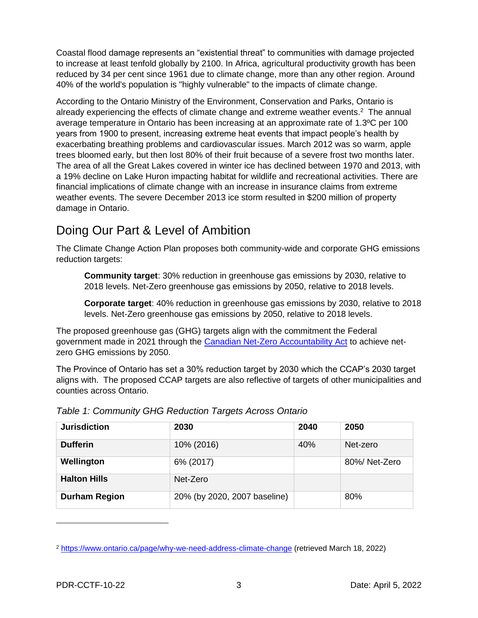Coastal flood damage represents an "existential threat" to communities with damage projected to increase at least tenfold globally by 2100. In Africa, agricultural productivity growth has been reduced by 34 per cent since 1961 due to climate change, more than any other region. Around 40% of the world's population is "highly vulnerable" to the impacts of climate change.

According to the Ontario Ministry of the Environment, Conservation and Parks, Ontario is already experiencing the effects of climate change and extreme weather events.<sup>2</sup> The annual average temperature in Ontario has been increasing at an approximate rate of 1.3ºC per 100 years from 1900 to present, increasing extreme heat events that impact people's health by exacerbating breathing problems and cardiovascular issues. March 2012 was so warm, apple trees bloomed early, but then lost 80% of their fruit because of a severe frost two months later. The area of all the Great Lakes covered in winter ice has declined between 1970 and 2013, with a 19% decline on Lake Huron impacting habitat for wildlife and recreational activities. There are financial implications of climate change with an increase in insurance claims from extreme weather events. The severe December 2013 ice storm resulted in \$200 million of property damage in Ontario.

### Doing Our Part & Level of Ambition

The Climate Change Action Plan proposes both community-wide and corporate GHG emissions reduction targets:

**Community target**: 30% reduction in greenhouse gas emissions by 2030, relative to 2018 levels. Net-Zero greenhouse gas emissions by 2050, relative to 2018 levels.

**Corporate target**: 40% reduction in greenhouse gas emissions by 2030, relative to 2018 levels. Net-Zero greenhouse gas emissions by 2050, relative to 2018 levels.

The proposed greenhouse gas (GHG) targets align with the commitment the Federal government made in 2021 through the [Canadian Net-Zero Accountability Act](https://www.canada.ca/en/services/environment/weather/climatechange/climate-plan/net-zero-emissions-2050/canadian-net-zero-emissions-accountability-act.html) to achieve netzero GHG emissions by 2050.

The Province of Ontario has set a 30% reduction target by 2030 which the CCAP's 2030 target aligns with. The proposed CCAP targets are also reflective of targets of other municipalities and counties across Ontario.

| <b>Jurisdiction</b>  | 2030                         | 2040 | 2050         |
|----------------------|------------------------------|------|--------------|
| <b>Dufferin</b>      | 10% (2016)                   | 40%  | Net-zero     |
| Wellington           | 6% (2017)                    |      | 80%/Net-Zero |
| <b>Halton Hills</b>  | Net-Zero                     |      |              |
| <b>Durham Region</b> | 20% (by 2020, 2007 baseline) |      | 80%          |

|  |  | Table 1: Community GHG Reduction Targets Across Ontario |
|--|--|---------------------------------------------------------|
|--|--|---------------------------------------------------------|

 $\overline{a}$ 

<sup>2</sup> <https://www.ontario.ca/page/why-we-need-address-climate-change> (retrieved March 18, 2022)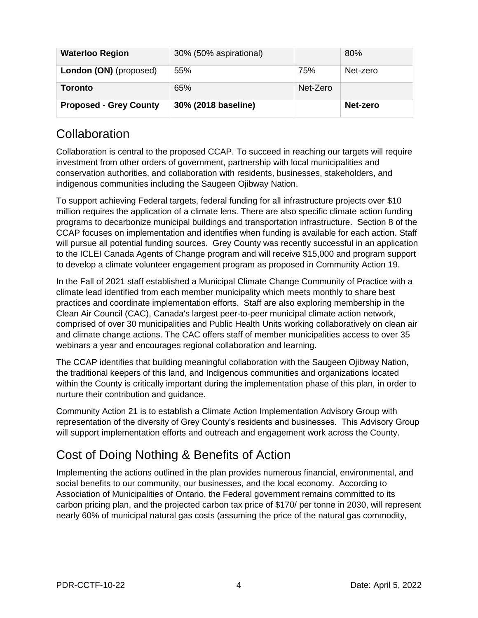| <b>Waterloo Region</b>        | 30% (50% aspirational) |          | 80%      |
|-------------------------------|------------------------|----------|----------|
| London (ON) (proposed)        | 55%                    | 75%      | Net-zero |
| Toronto                       | 65%                    | Net-Zero |          |
| <b>Proposed - Grey County</b> | 30% (2018 baseline)    |          | Net-zero |

### **Collaboration**

Collaboration is central to the proposed CCAP. To succeed in reaching our targets will require investment from other orders of government, partnership with local municipalities and conservation authorities, and collaboration with residents, businesses, stakeholders, and indigenous communities including the Saugeen Ojibway Nation.

To support achieving Federal targets, federal funding for all infrastructure projects over \$10 million requires the application of a climate lens. There are also specific climate action funding programs to decarbonize municipal buildings and transportation infrastructure. Section 8 of the CCAP focuses on implementation and identifies when funding is available for each action. Staff will pursue all potential funding sources. Grey County was recently successful in an application to the ICLEI Canada Agents of Change program and will receive \$15,000 and program support to develop a climate volunteer engagement program as proposed in Community Action 19.

In the Fall of 2021 staff established a Municipal Climate Change Community of Practice with a climate lead identified from each member municipality which meets monthly to share best practices and coordinate implementation efforts. Staff are also exploring membership in the Clean Air Council (CAC), Canada's largest peer-to-peer municipal climate action network, comprised of over 30 municipalities and Public Health Units working collaboratively on clean air and climate change actions. The CAC offers staff of member municipalities access to over 35 webinars a year and encourages regional collaboration and learning.

The CCAP identifies that building meaningful collaboration with the Saugeen Ojibway Nation, the traditional keepers of this land, and Indigenous communities and organizations located within the County is critically important during the implementation phase of this plan, in order to nurture their contribution and guidance.

Community Action 21 is to establish a Climate Action Implementation Advisory Group with representation of the diversity of Grey County's residents and businesses. This Advisory Group will support implementation efforts and outreach and engagement work across the County.

## Cost of Doing Nothing & Benefits of Action

Implementing the actions outlined in the plan provides numerous financial, environmental, and social benefits to our community, our businesses, and the local economy. According to Association of Municipalities of Ontario, the Federal government remains committed to its carbon pricing plan, and the projected carbon tax price of \$170/ per tonne in 2030, will represent nearly 60% of municipal natural gas costs (assuming the price of the natural gas commodity,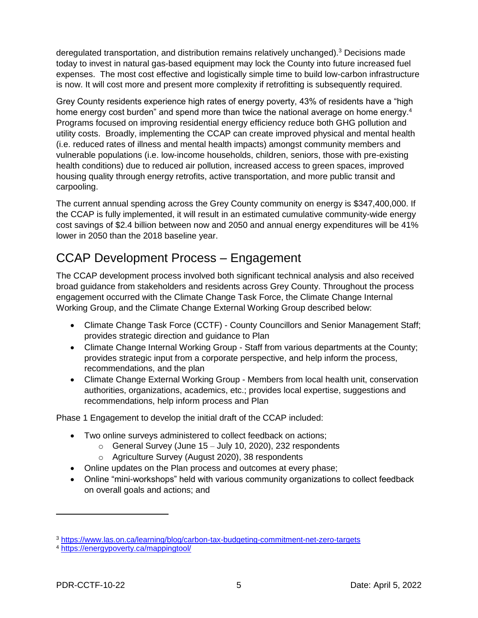deregulated transportation, and distribution remains relatively unchanged).<sup>3</sup> Decisions made today to invest in natural gas-based equipment may lock the County into future increased fuel expenses. The most cost effective and logistically simple time to build low-carbon infrastructure is now. It will cost more and present more complexity if retrofitting is subsequently required.

Grey County residents experience high rates of energy poverty, 43% of residents have a "high home energy cost burden" and spend more than twice the national average on home energy. $4$ Programs focused on improving residential energy efficiency reduce both GHG pollution and utility costs. Broadly, implementing the CCAP can create improved physical and mental health (i.e. reduced rates of illness and mental health impacts) amongst community members and vulnerable populations (i.e. low-income households, children, seniors, those with pre-existing health conditions) due to reduced air pollution, increased access to green spaces, improved housing quality through energy retrofits, active transportation, and more public transit and carpooling.

The current annual spending across the Grey County community on energy is \$347,400,000. If the CCAP is fully implemented, it will result in an estimated cumulative community-wide energy cost savings of \$2.4 billion between now and 2050 and annual energy expenditures will be 41% lower in 2050 than the 2018 baseline year.

### CCAP Development Process – Engagement

The CCAP development process involved both significant technical analysis and also received broad guidance from stakeholders and residents across Grey County. Throughout the process engagement occurred with the Climate Change Task Force, the Climate Change Internal Working Group, and the Climate Change External Working Group described below:

- Climate Change Task Force (CCTF) County Councillors and Senior Management Staff; provides strategic direction and guidance to Plan
- Climate Change Internal Working Group Staff from various departments at the County; provides strategic input from a corporate perspective, and help inform the process, recommendations, and the plan
- Climate Change External Working Group Members from local health unit, conservation authorities, organizations, academics, etc.; provides local expertise, suggestions and recommendations, help inform process and Plan

Phase 1 Engagement to develop the initial draft of the CCAP included:

- Two online surveys administered to collect feedback on actions;
	- $\circ$  General Survey (June 15 July 10, 2020), 232 respondents
	- o Agriculture Survey (August 2020), 38 respondents
- Online updates on the Plan process and outcomes at every phase;
- Online "mini-workshops" held with various community organizations to collect feedback on overall goals and actions; and

<sup>3</sup> <https://www.las.on.ca/learning/blog/carbon-tax-budgeting-commitment-net-zero-targets>

<sup>4</sup> <https://energypoverty.ca/mappingtool/>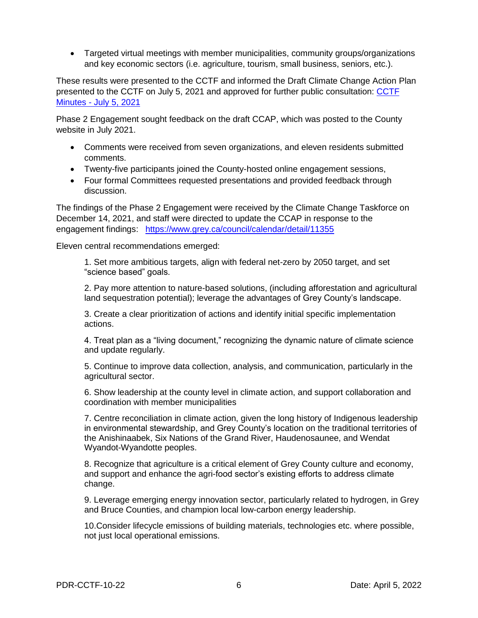Targeted virtual meetings with member municipalities, community groups/organizations and key economic sectors (i.e. agriculture, tourism, small business, seniors, etc.).

These results were presented to the CCTF and informed the Draft Climate Change Action Plan presented to the CCTF on July 5, 2021 and approved for further public consultation: [CCTF](https://council.grey.ca/meeting/getPDFRendition?documentObjectId=9aaffddd-b8ae-4d6b-9c15-632c15f8c268)  Minutes - [July 5, 2021](https://council.grey.ca/meeting/getPDFRendition?documentObjectId=9aaffddd-b8ae-4d6b-9c15-632c15f8c268)

Phase 2 Engagement sought feedback on the draft CCAP, which was posted to the County website in July 2021.

- Comments were received from seven organizations, and eleven residents submitted comments.
- Twenty-five participants joined the County-hosted online engagement sessions,
- Four formal Committees requested presentations and provided feedback through discussion.

The findings of the Phase 2 Engagement were received by the Climate Change Taskforce on December 14, 2021, and staff were directed to update the CCAP in response to the engagement findings: <https://www.grey.ca/council/calendar/detail/11355>

Eleven central recommendations emerged:

1. Set more ambitious targets, align with federal net-zero by 2050 target, and set "science based" goals.

2. Pay more attention to nature-based solutions, (including afforestation and agricultural land sequestration potential); leverage the advantages of Grey County's landscape.

3. Create a clear prioritization of actions and identify initial specific implementation actions.

4. Treat plan as a "living document," recognizing the dynamic nature of climate science and update regularly.

5. Continue to improve data collection, analysis, and communication, particularly in the agricultural sector.

6. Show leadership at the county level in climate action, and support collaboration and coordination with member municipalities

7. Centre reconciliation in climate action, given the long history of Indigenous leadership in environmental stewardship, and Grey County's location on the traditional territories of the Anishinaabek, Six Nations of the Grand River, Haudenosaunee, and Wendat Wyandot-Wyandotte peoples.

8. Recognize that agriculture is a critical element of Grey County culture and economy, and support and enhance the agri-food sector's existing efforts to address climate change.

9. Leverage emerging energy innovation sector, particularly related to hydrogen, in Grey and Bruce Counties, and champion local low-carbon energy leadership.

10.Consider lifecycle emissions of building materials, technologies etc. where possible, not just local operational emissions.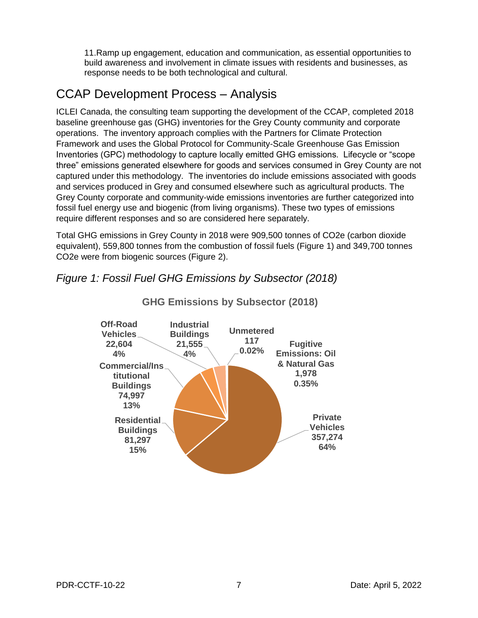11.Ramp up engagement, education and communication, as essential opportunities to build awareness and involvement in climate issues with residents and businesses, as response needs to be both technological and cultural.

### CCAP Development Process – Analysis

ICLEI Canada, the consulting team supporting the development of the CCAP, completed 2018 baseline greenhouse gas (GHG) inventories for the Grey County community and corporate operations. The inventory approach complies with the Partners for Climate Protection Framework and uses the Global Protocol for Community-Scale Greenhouse Gas Emission Inventories (GPC) methodology to capture locally emitted GHG emissions. Lifecycle or "scope three" emissions generated elsewhere for goods and services consumed in Grey County are not captured under this methodology. The inventories do include emissions associated with goods and services produced in Grey and consumed elsewhere such as agricultural products. The Grey County corporate and community-wide emissions inventories are further categorized into fossil fuel energy use and biogenic (from living organisms). These two types of emissions require different responses and so are considered here separately.

Total GHG emissions in Grey County in 2018 were 909,500 tonnes of CO2e (carbon dioxide equivalent), 559,800 tonnes from the combustion of fossil fuels (Figure 1) and 349,700 tonnes CO2e were from biogenic sources (Figure 2).

#### *Figure 1: Fossil Fuel GHG Emissions by Subsector (2018)*



#### **GHG Emissions by Subsector (2018)**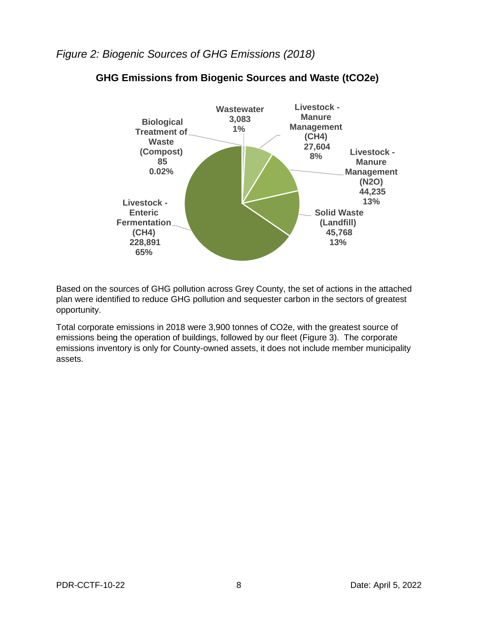#### *Figure 2: Biogenic Sources of GHG Emissions (2018)*



#### **GHG Emissions from Biogenic Sources and Waste (tCO2e)**

Based on the sources of GHG pollution across Grey County, the set of actions in the attached plan were identified to reduce GHG pollution and sequester carbon in the sectors of greatest opportunity.

Total corporate emissions in 2018 were 3,900 tonnes of CO2e, with the greatest source of emissions being the operation of buildings, followed by our fleet (Figure 3). The corporate emissions inventory is only for County-owned assets, it does not include member municipality assets.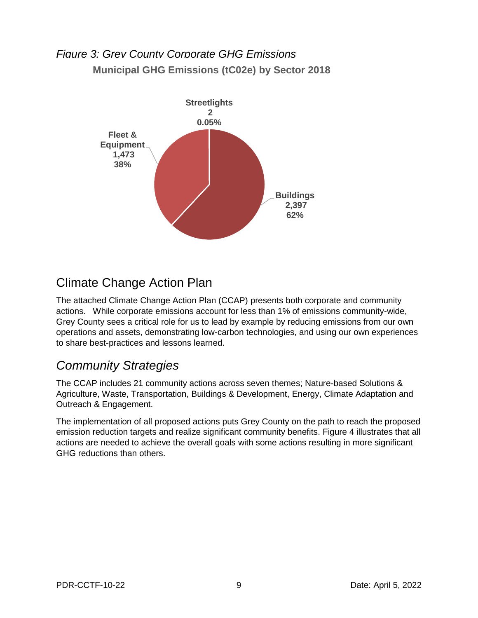### *Figure 3: Grey County Corporate GHG Emissions*  **Municipal GHG Emissions (tC02e) by Sector 2018**



### Climate Change Action Plan

The attached Climate Change Action Plan (CCAP) presents both corporate and community actions. While corporate emissions account for less than 1% of emissions community-wide, Grey County sees a critical role for us to lead by example by reducing emissions from our own operations and assets, demonstrating low-carbon technologies, and using our own experiences to share best-practices and lessons learned.

### *Community Strategies*

The CCAP includes 21 community actions across seven themes; Nature-based Solutions & Agriculture, Waste, Transportation, Buildings & Development, Energy, Climate Adaptation and Outreach & Engagement.

The implementation of all proposed actions puts Grey County on the path to reach the proposed emission reduction targets and realize significant community benefits. Figure 4 illustrates that all actions are needed to achieve the overall goals with some actions resulting in more significant GHG reductions than others.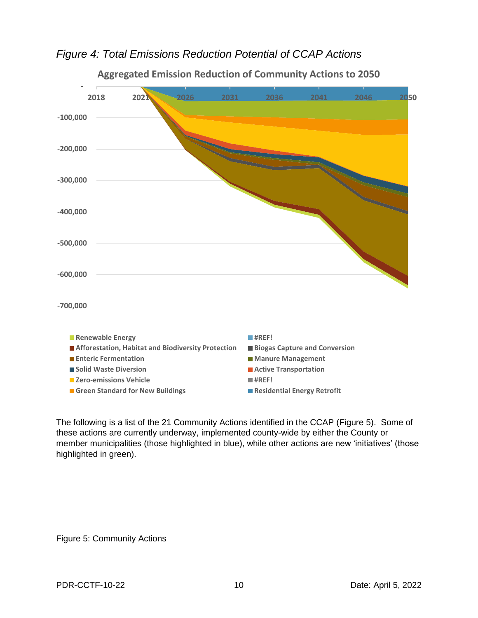*Figure 4: Total Emissions Reduction Potential of CCAP Actions*



**Aggregated Emission Reduction of Community Actions to 2050**

The following is a list of the 21 Community Actions identified in the CCAP (Figure 5). Some of these actions are currently underway, implemented county-wide by either the County or member municipalities (those highlighted in blue), while other actions are new 'initiatives' (those highlighted in green).

Figure 5: Community Actions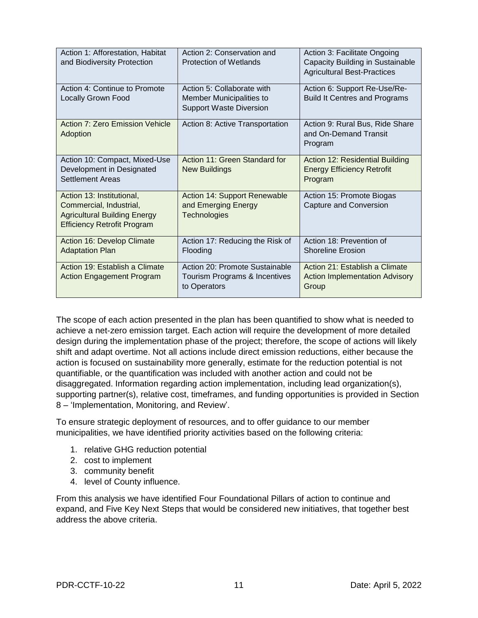| Action 1: Afforestation, Habitat<br>and Biodiversity Protection                                                                   | Action 2: Conservation and<br><b>Protection of Wetlands</b>                              | Action 3: Facilitate Ongoing<br>Capacity Building in Sustainable<br><b>Agricultural Best-Practices</b> |
|-----------------------------------------------------------------------------------------------------------------------------------|------------------------------------------------------------------------------------------|--------------------------------------------------------------------------------------------------------|
| Action 4: Continue to Promote<br><b>Locally Grown Food</b>                                                                        | Action 5: Collaborate with<br>Member Municipalities to<br><b>Support Waste Diversion</b> | Action 6: Support Re-Use/Re-<br><b>Build It Centres and Programs</b>                                   |
| Action 7: Zero Emission Vehicle<br>Adoption                                                                                       | Action 8: Active Transportation                                                          | Action 9: Rural Bus, Ride Share<br>and On-Demand Transit<br>Program                                    |
| Action 10: Compact, Mixed-Use<br>Development in Designated<br><b>Settlement Areas</b>                                             | Action 11: Green Standard for<br><b>New Buildings</b>                                    | Action 12: Residential Building<br><b>Energy Efficiency Retrofit</b><br>Program                        |
| Action 13: Institutional,<br>Commercial, Industrial,<br><b>Agricultural Building Energy</b><br><b>Efficiency Retrofit Program</b> | Action 14: Support Renewable<br>and Emerging Energy<br>Technologies                      | Action 15: Promote Biogas<br>Capture and Conversion                                                    |
| Action 16: Develop Climate<br><b>Adaptation Plan</b>                                                                              | Action 17: Reducing the Risk of<br>Flooding                                              | Action 18: Prevention of<br><b>Shoreline Erosion</b>                                                   |
| Action 19: Establish a Climate<br><b>Action Engagement Program</b>                                                                | Action 20: Promote Sustainable<br>Tourism Programs & Incentives<br>to Operators          | Action 21: Establish a Climate<br><b>Action Implementation Advisory</b><br>Group                       |

The scope of each action presented in the plan has been quantified to show what is needed to achieve a net-zero emission target. Each action will require the development of more detailed design during the implementation phase of the project; therefore, the scope of actions will likely shift and adapt overtime. Not all actions include direct emission reductions, either because the action is focused on sustainability more generally, estimate for the reduction potential is not quantifiable, or the quantification was included with another action and could not be disaggregated. Information regarding action implementation, including lead organization(s), supporting partner(s), relative cost, timeframes, and funding opportunities is provided in Section 8 – 'Implementation, Monitoring, and Review'.

To ensure strategic deployment of resources, and to offer guidance to our member municipalities, we have identified priority activities based on the following criteria:

- 1. relative GHG reduction potential
- 2. cost to implement
- 3. community benefit
- 4. level of County influence.

From this analysis we have identified Four Foundational Pillars of action to continue and expand, and Five Key Next Steps that would be considered new initiatives, that together best address the above criteria.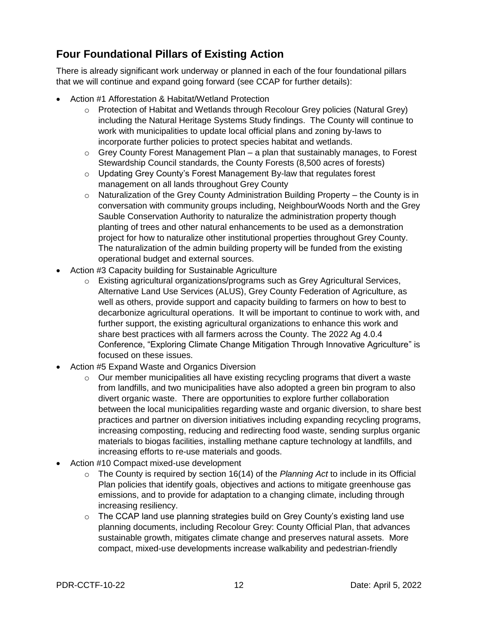#### **Four Foundational Pillars of Existing Action**

There is already significant work underway or planned in each of the four foundational pillars that we will continue and expand going forward (see CCAP for further details):

- Action #1 Afforestation & Habitat/Wetland Protection
	- $\circ$  Protection of Habitat and Wetlands through Recolour Grey policies (Natural Grey) including the Natural Heritage Systems Study findings. The County will continue to work with municipalities to update local official plans and zoning by-laws to incorporate further policies to protect species habitat and wetlands.
	- $\circ$  Grey County Forest Management Plan a plan that sustainably manages, to Forest Stewardship Council standards, the County Forests (8,500 acres of forests)
	- o Updating Grey County's Forest Management By-law that regulates forest management on all lands throughout Grey County
	- $\circ$  Naturalization of the Grey County Administration Building Property the County is in conversation with community groups including, NeighbourWoods North and the Grey Sauble Conservation Authority to naturalize the administration property though planting of trees and other natural enhancements to be used as a demonstration project for how to naturalize other institutional properties throughout Grey County. The naturalization of the admin building property will be funded from the existing operational budget and external sources.
- Action #3 Capacity building for Sustainable Agriculture
	- $\circ$  Existing agricultural organizations/programs such as Grey Agricultural Services, Alternative Land Use Services (ALUS), Grey County Federation of Agriculture, as well as others, provide support and capacity building to farmers on how to best to decarbonize agricultural operations. It will be important to continue to work with, and further support, the existing agricultural organizations to enhance this work and share best practices with all farmers across the County. The 2022 Ag 4.0.4 Conference, "Exploring Climate Change Mitigation Through Innovative Agriculture" is focused on these issues.
- Action #5 Expand Waste and Organics Diversion
	- o Our member municipalities all have existing recycling programs that divert a waste from landfills, and two municipalities have also adopted a green bin program to also divert organic waste. There are opportunities to explore further collaboration between the local municipalities regarding waste and organic diversion, to share best practices and partner on diversion initiatives including expanding recycling programs, increasing composting, reducing and redirecting food waste, sending surplus organic materials to biogas facilities, installing methane capture technology at landfills, and increasing efforts to re-use materials and goods.
- Action #10 Compact mixed-use development
	- o The County is required by section 16(14) of the *Planning Act* to include in its Official Plan policies that identify goals, objectives and actions to mitigate greenhouse gas emissions, and to provide for adaptation to a changing climate, including through increasing resiliency.
	- $\circ$  The CCAP land use planning strategies build on Grey County's existing land use planning documents, including Recolour Grey: County Official Plan, that advances sustainable growth, mitigates climate change and preserves natural assets. More compact, mixed-use developments increase walkability and pedestrian-friendly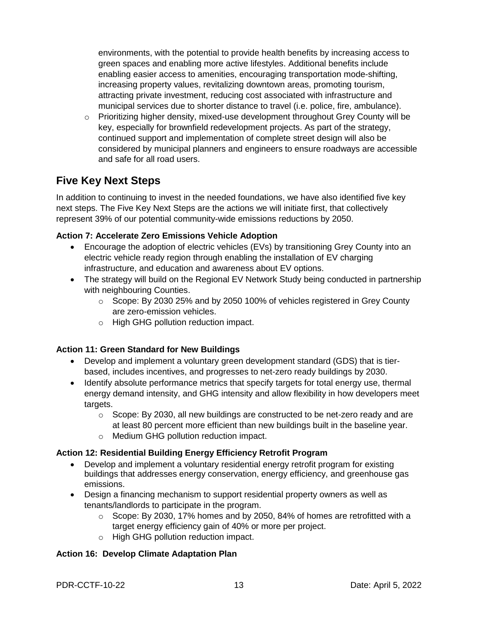environments, with the potential to provide health benefits by increasing access to green spaces and enabling more active lifestyles. Additional benefits include enabling easier access to amenities, encouraging transportation mode-shifting, increasing property values, revitalizing downtown areas, promoting tourism, attracting private investment, reducing cost associated with infrastructure and municipal services due to shorter distance to travel (i.e. police, fire, ambulance).

 $\circ$  Prioritizing higher density, mixed-use development throughout Grey County will be key, especially for brownfield redevelopment projects. As part of the strategy, continued support and implementation of complete street design will also be considered by municipal planners and engineers to ensure roadways are accessible and safe for all road users.

#### **Five Key Next Steps**

In addition to continuing to invest in the needed foundations, we have also identified five key next steps. The Five Key Next Steps are the actions we will initiate first, that collectively represent 39% of our potential community-wide emissions reductions by 2050.

#### **Action 7: Accelerate Zero Emissions Vehicle Adoption**

- Encourage the adoption of electric vehicles (EVs) by transitioning Grey County into an electric vehicle ready region through enabling the installation of EV charging infrastructure, and education and awareness about EV options.
- The strategy will build on the Regional EV Network Study being conducted in partnership with neighbouring Counties.
	- o Scope: By 2030 25% and by 2050 100% of vehicles registered in Grey County are zero-emission vehicles.
	- o High GHG pollution reduction impact.

#### **Action 11: Green Standard for New Buildings**

- Develop and implement a voluntary green development standard (GDS) that is tierbased, includes incentives, and progresses to net-zero ready buildings by 2030.
- Identify absolute performance metrics that specify targets for total energy use, thermal energy demand intensity, and GHG intensity and allow flexibility in how developers meet targets.
	- $\circ$  Scope: By 2030, all new buildings are constructed to be net-zero ready and are at least 80 percent more efficient than new buildings built in the baseline year.
	- o Medium GHG pollution reduction impact.

#### **Action 12: Residential Building Energy Efficiency Retrofit Program**

- Develop and implement a voluntary residential energy retrofit program for existing buildings that addresses energy conservation, energy efficiency, and greenhouse gas emissions.
- Design a financing mechanism to support residential property owners as well as tenants/landlords to participate in the program.
	- o Scope: By 2030, 17% homes and by 2050, 84% of homes are retrofitted with a target energy efficiency gain of 40% or more per project.
	- o High GHG pollution reduction impact.

#### **Action 16: Develop Climate Adaptation Plan**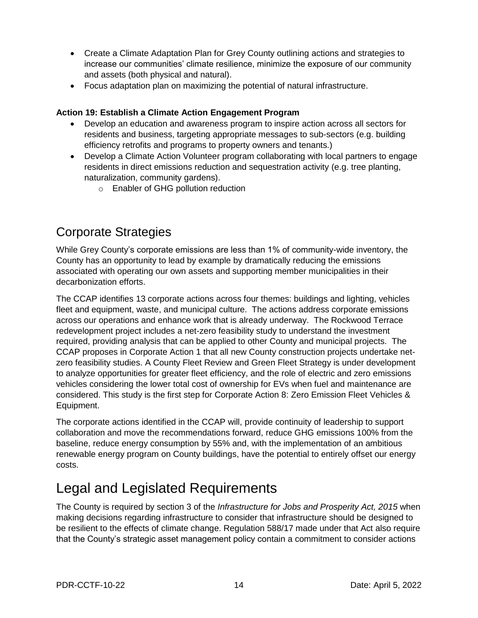- Create a Climate Adaptation Plan for Grey County outlining actions and strategies to increase our communities' climate resilience, minimize the exposure of our community and assets (both physical and natural).
- Focus adaptation plan on maximizing the potential of natural infrastructure.

#### **Action 19: Establish a Climate Action Engagement Program**

- Develop an education and awareness program to inspire action across all sectors for residents and business, targeting appropriate messages to sub-sectors (e.g. building efficiency retrofits and programs to property owners and tenants.)
- Develop a Climate Action Volunteer program collaborating with local partners to engage residents in direct emissions reduction and sequestration activity (e.g. tree planting, naturalization, community gardens).
	- o Enabler of GHG pollution reduction

### Corporate Strategies

While Grey County's corporate emissions are less than 1% of community-wide inventory, the County has an opportunity to lead by example by dramatically reducing the emissions associated with operating our own assets and supporting member municipalities in their decarbonization efforts.

The CCAP identifies 13 corporate actions across four themes: buildings and lighting, vehicles fleet and equipment, waste, and municipal culture. The actions address corporate emissions across our operations and enhance work that is already underway. The Rockwood Terrace redevelopment project includes a net-zero feasibility study to understand the investment required, providing analysis that can be applied to other County and municipal projects. The CCAP proposes in Corporate Action 1 that all new County construction projects undertake netzero feasibility studies. A County Fleet Review and Green Fleet Strategy is under development to analyze opportunities for greater fleet efficiency, and the role of electric and zero emissions vehicles considering the lower total cost of ownership for EVs when fuel and maintenance are considered. This study is the first step for Corporate Action 8: Zero Emission Fleet Vehicles & Equipment.

The corporate actions identified in the CCAP will, provide continuity of leadership to support collaboration and move the recommendations forward, reduce GHG emissions 100% from the baseline, reduce energy consumption by 55% and, with the implementation of an ambitious renewable energy program on County buildings, have the potential to entirely offset our energy costs.

# Legal and Legislated Requirements

The County is required by section 3 of the *Infrastructure for Jobs and Prosperity Act, 2015* when making decisions regarding infrastructure to consider that infrastructure should be designed to be resilient to the effects of climate change. Regulation 588/17 made under that Act also require that the County's strategic asset management policy contain a commitment to consider actions